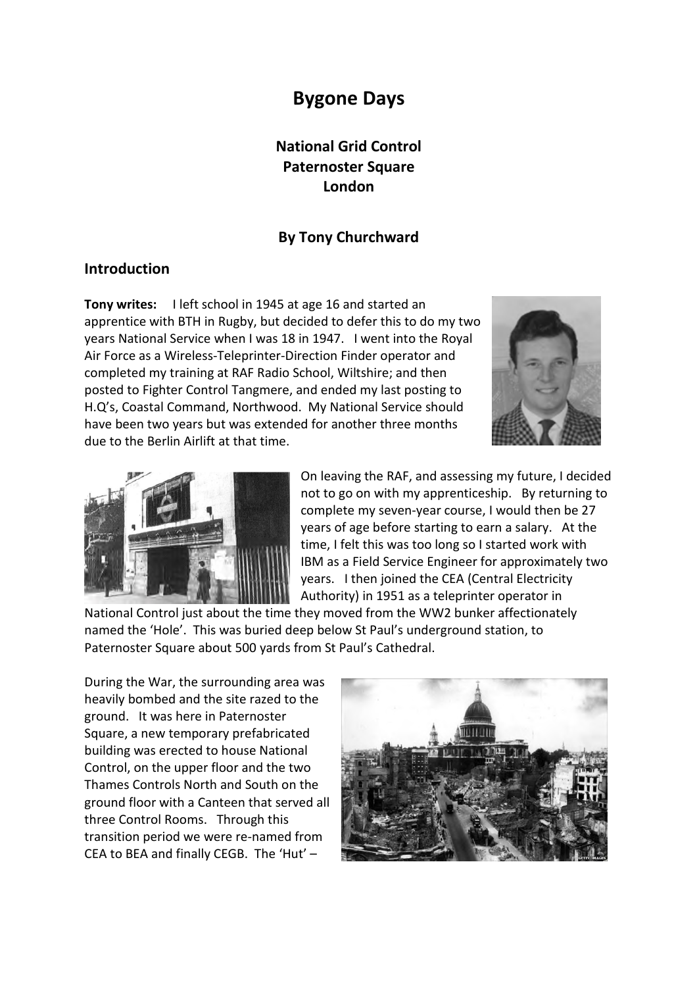# **Bygone Days**

## **National Grid Control Paternoster Square London**

#### **By Tony Churchward**

#### **Introduction**

**Tony writes:** I left school in 1945 at age 16 and started an apprentice with BTH in Rugby, but decided to defer this to do my two years National Service when I was 18 in 1947. I went into the Royal Air Force as a Wireless-Teleprinter-Direction Finder operator and completed my training at RAF Radio School, Wiltshire; and then posted to Fighter Control Tangmere, and ended my last posting to H.Q's, Coastal Command, Northwood. My National Service should have been two years but was extended for another three months due to the Berlin Airlift at that time.





On leaving the RAF, and assessing my future, I decided not to go on with my apprenticeship. By returning to complete my seven-year course, I would then be 27 years of age before starting to earn a salary. At the time, I felt this was too long so I started work with IBM as a Field Service Engineer for approximately two years. I then joined the CEA (Central Electricity Authority) in 1951 as a teleprinter operator in

National Control just about the time they moved from the WW2 bunker affectionately named the 'Hole'. This was buried deep below St Paul's underground station, to Paternoster Square about 500 yards from St Paul's Cathedral.

During the War, the surrounding area was heavily bombed and the site razed to the ground. It was here in Paternoster Square, a new temporary prefabricated building was erected to house National Control, on the upper floor and the two Thames Controls North and South on the ground floor with a Canteen that served all three Control Rooms. Through this transition period we were re-named from CEA to BEA and finally CEGB. The 'Hut' –

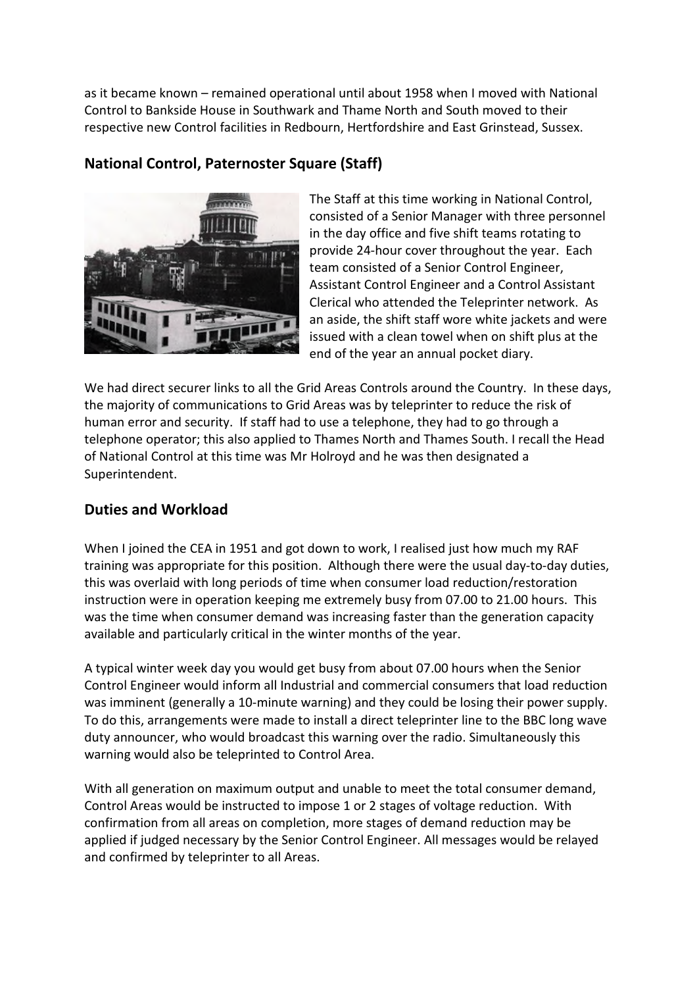as it became known – remained operational until about 1958 when I moved with National Control to Bankside House in Southwark and Thame North and South moved to their respective new Control facilities in Redbourn, Hertfordshire and East Grinstead, Sussex.

## **National Control, Paternoster Square (Staff)**



The Staff at this time working in National Control, consisted of a Senior Manager with three personnel in the day office and five shift teams rotating to provide 24-hour cover throughout the year. Each team consisted of a Senior Control Engineer, Assistant Control Engineer and a Control Assistant Clerical who attended the Teleprinter network. As an aside, the shift staff wore white jackets and were issued with a clean towel when on shift plus at the end of the year an annual pocket diary.

We had direct securer links to all the Grid Areas Controls around the Country. In these days, the majority of communications to Grid Areas was by teleprinter to reduce the risk of human error and security. If staff had to use a telephone, they had to go through a telephone operator; this also applied to Thames North and Thames South. I recall the Head of National Control at this time was Mr Holroyd and he was then designated a Superintendent.

### **Duties and Workload**

When I joined the CEA in 1951 and got down to work, I realised just how much my RAF training was appropriate for this position. Although there were the usual day-to-day duties, this was overlaid with long periods of time when consumer load reduction/restoration instruction were in operation keeping me extremely busy from 07.00 to 21.00 hours. This was the time when consumer demand was increasing faster than the generation capacity available and particularly critical in the winter months of the year.

A typical winter week day you would get busy from about 07.00 hours when the Senior Control Engineer would inform all Industrial and commercial consumers that load reduction was imminent (generally a 10-minute warning) and they could be losing their power supply. To do this, arrangements were made to install a direct teleprinter line to the BBC long wave duty announcer, who would broadcast this warning over the radio. Simultaneously this warning would also be teleprinted to Control Area.

With all generation on maximum output and unable to meet the total consumer demand, Control Areas would be instructed to impose 1 or 2 stages of voltage reduction. With confirmation from all areas on completion, more stages of demand reduction may be applied if judged necessary by the Senior Control Engineer. All messages would be relayed and confirmed by teleprinter to all Areas.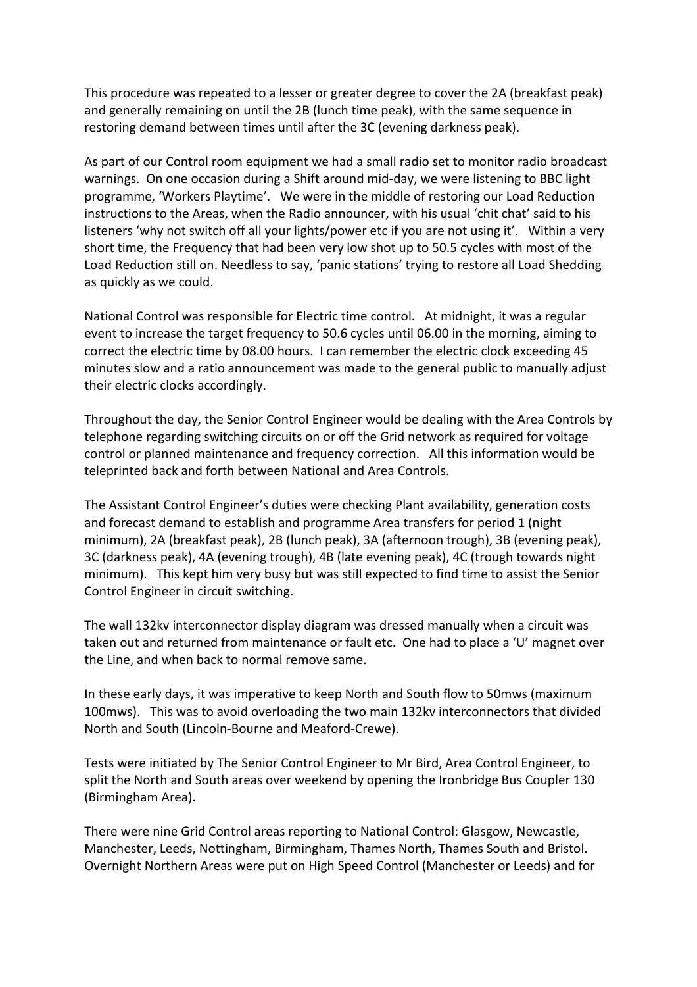This procedure was repeated to a lesser or greater degree to cover the 2A (breakfast peak) and generally remaining on until the 2B (lunch time peak), with the same sequence in restoring demand between times until after the 3C (evening darkness peak).

As part of our Control room equipment we had a small radio set to monitor radio broadcast warnings. On one occasion during a Shift around mid-day, we were listening to BBC light programme, 'Workers Playtime'. We were in the middle of restoring our Load Reduction instructions to the Areas, when the Radio announcer, with his usual 'chit chat' said to his listeners 'why not switch off all your lights/power etc if you are not using it'. Within a very short time, the Frequency that had been very low shot up to 50.5 cycles with most of the Load Reduction still on. Needless to say, 'panic stations' trying to restore all Load Shedding as quickly as we could.

National Control was responsible for Electric time control. At midnight, it was a regular event to increase the target frequency to 50.6 cycles until 06.00 in the morning, aiming to correct the electric time by 08.00 hours. I can remember the electric clock exceeding 45 minutes slow and a ratio announcement was made to the general public to manually adjust their electric clocks accordingly.

Throughout the day, the Senior Control Engineer would be dealing with the Area Controls by telephone regarding switching circuits on or off the Grid network as required for voltage control or planned maintenance and frequency correction. All this information would be teleprinted back and forth between National and Area Controls.

The Assistant Control Engineer's duties were checking Plant availability, generation costs and forecast demand to establish and programme Area transfers for period 1 (night minimum), 2A (breakfast peak), 2B (lunch peak), 3A (afternoon trough), 3B (evening peak), 3C (darkness peak), 4A (evening trough), 4B (late evening peak), 4C (trough towards night minimum). This kept him very busy but was still expected to find time to assist the Senior Control Engineer in circuit switching.

The wall 132kv interconnector display diagram was dressed manually when a circuit was taken out and returned from maintenance or fault etc. One had to place a 'U' magnet over the Line, and when back to normal remove same.

In these early days, it was imperative to keep North and South flow to 50mws (maximum 100mws). This was to avoid overloading the two main 132kv interconnectors that divided North and South (Lincoln-Bourne and Meaford-Crewe).

Tests were initiated by The Senior Control Engineer to Mr Bird, Area Control Engineer, to split the North and South areas over weekend by opening the Ironbridge Bus Coupler 130 (Birmingham Area).

There were nine Grid Control areas reporting to National Control: Glasgow, Newcastle, Manchester, Leeds, Nottingham, Birmingham, Thames North, Thames South and Bristol. Overnight Northern Areas were put on High Speed Control (Manchester or Leeds) and for